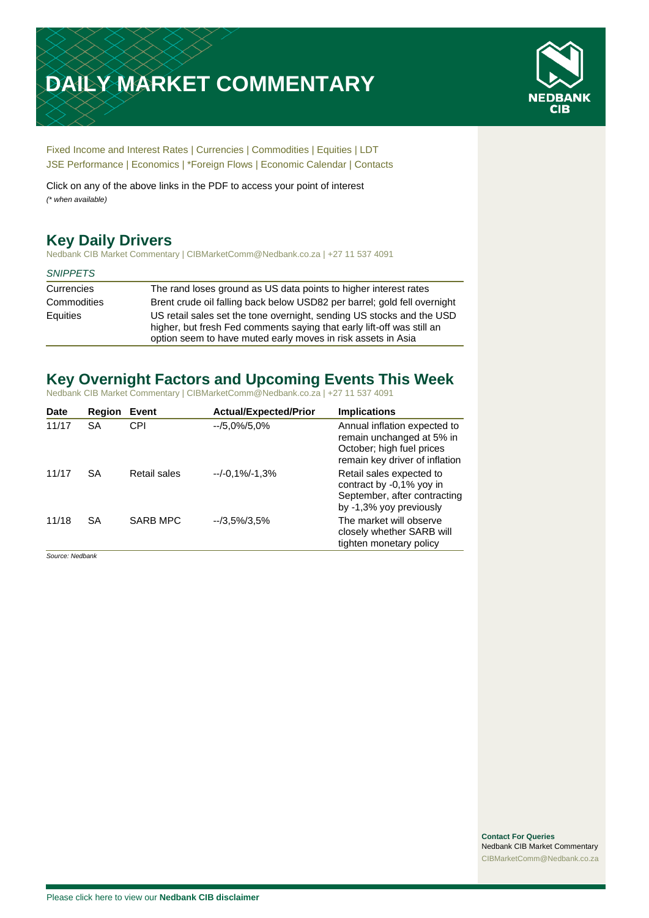# **DAILY MARKET COMMENTARY**



[Fixed Income and Interest Rates](#page-1-0) | [Currencies](#page-2-0) | [Commodities](#page-3-0) [| Equities](#page-4-0) | [LDT](#page-5-0) [JSE Performance](#page-6-0) [| Economics](#page-7-0) | [\\*Foreign Flows](#page-7-0) | [Economic Calendar](#page-7-0) | [Contacts](#page-8-0)

Click on any of the above links in the PDF to access your point of interest *(\* when available)*

# **Key Daily Drivers**

Nedbank CIB Market Commentary | CIBMarketComm@Nedbank.co.za | +27 11 537 4091

### *SNIPPETS*

| Currencies  | The rand loses ground as US data points to higher interest rates                                                                                                                                                |
|-------------|-----------------------------------------------------------------------------------------------------------------------------------------------------------------------------------------------------------------|
| Commodities | Brent crude oil falling back below USD82 per barrel; gold fell overnight                                                                                                                                        |
| Equities    | US retail sales set the tone overnight, sending US stocks and the USD<br>higher, but fresh Fed comments saying that early lift-off was still an<br>option seem to have muted early moves in risk assets in Asia |

### **Key Overnight Factors and Upcoming Events This Week**

Nedbank CIB Market Commentary | CIBMarketComm@Nedbank.co.za | +27 11 537 4091

| <b>Date</b> | <b>Region</b> | Event           | <b>Actual/Expected/Prior</b> | <b>Implications</b>                                                                                                      |
|-------------|---------------|-----------------|------------------------------|--------------------------------------------------------------------------------------------------------------------------|
| 11/17       | SA            | CPI             | $-15.0\%/5.0\%$              | Annual inflation expected to<br>remain unchanged at 5% in<br>October; high fuel prices<br>remain key driver of inflation |
| 11/17       | SA            | Retail sales    | $-/-0.1\%/ -1.3\%$           | Retail sales expected to<br>contract by -0,1% yoy in<br>September, after contracting<br>by -1,3% yoy previously          |
| 11/18       | <b>SA</b>     | <b>SARB MPC</b> | $-73.5\%/3.5\%$              | The market will observe<br>closely whether SARB will<br>tighten monetary policy                                          |

*Source: Nedbank*

**Contact For Queries** Nedbank CIB Market Commentary [CIBMarketComm@Nedbank.co.za](file:///C:/Users/Paul-Rose/AppData/Roaming/Bluecurve/templates/CIBMarketComm@Nedbank.co.za)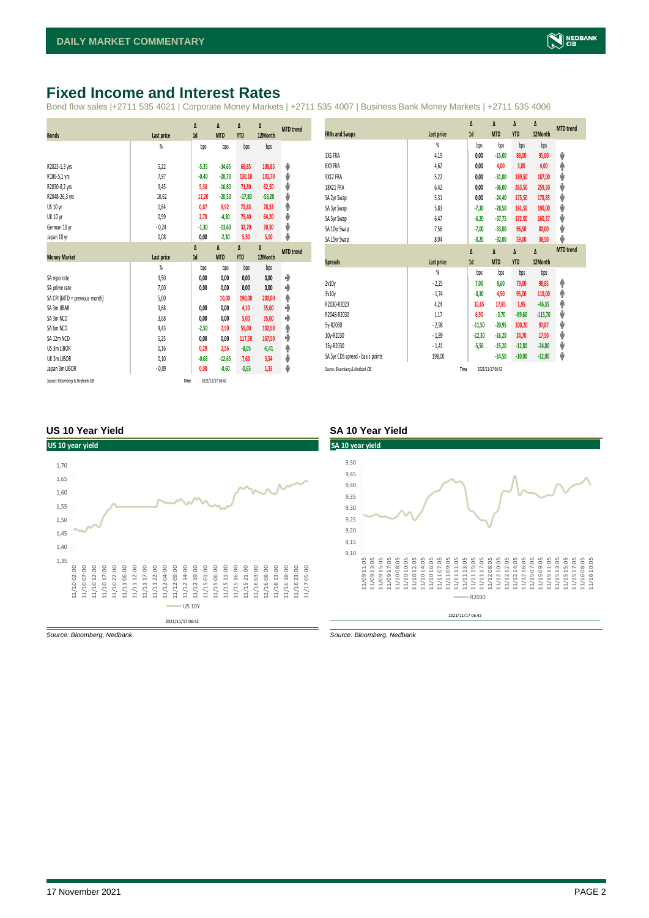### <span id="page-1-0"></span>**Fixed Income and Interest Rates**

Bond flow sales |+2711 535 4021 | Corporate Money Markets | +2711 535 4007 | Business Bank Money Markets | +2711 535 4006

|                                 |                   | Δ       | Δ                | Δ          | Δ        | <b>MTD</b> trend |
|---------------------------------|-------------------|---------|------------------|------------|----------|------------------|
| <b>Bonds</b>                    | Last price        | 1d      | <b>MTD</b>       | <b>YTD</b> | 12Month  |                  |
|                                 | %                 | bps     | bps              | bps        | bps      |                  |
|                                 |                   |         |                  |            |          |                  |
| R2023-1,3 yrs                   | 5,22              | $-5,35$ | $-34,65$         | 69,85      | 108,85   | ψ                |
| R186-5,1 yrs                    | 7,97              | $-0,40$ | $-20,70$         | 130,10     | 101,70   | ψ                |
| R2030-8,2 yrs                   | 9,45              | 5,30    | $-16,80$         | 71,80      | 62,50    | ψ                |
| R2048-26,3 yrs                  | 10,62             | 12,20   | $-20,50$         | $-17,80$   | $-53,20$ | ψ                |
| US 10 yr                        | 1,64              | 0,87    | 8,92             | 72,83      | 78,53    | ۸                |
| <b>UK 10 yr</b>                 | 0,99              | 2,70    | $-4,30$          | 79,40      | 64,20    | ψ                |
| German 10 yr                    | $-0,24$           | $-1,30$ | $-13,60$         | 32,70      | 30,30    | ψ                |
| Japan 10 yr                     | 0,08              | 0,00    | $-2,30$          | 5,50       | 5,10     | ψ                |
|                                 |                   | Δ       | Δ                | Δ          | Δ        | <b>MTD</b> trend |
| <b>Money Market</b>             | <b>Last price</b> | 1d      | <b>MTD</b>       | <b>YTD</b> | 12Month  |                  |
|                                 | $\frac{9}{20}$    | bps     | bps              | bps        | bps      |                  |
| SA repo rate                    | 3,50              | 0,00    | 0,00             | 0,00       | 0,00     | ۰                |
| SA prime rate                   | 7,00              | 0,00    | 0,00             | 0,00       | 0,00     | ۰                |
| SA CPI (MTD = previous month)   | 5,00              |         | 10,00            | 190,00     | 200,00   | ۸                |
| SA 3m JIBAR                     | 3,68              | 0.00    | 0,00             | 4,10       | 35,00    | ٠                |
| SA 3m NCD                       | 3,68              | 0,00    | 0,00             | 5,00       | 35,00    | ٠                |
| SA 6m NCD                       | 4,43              | $-2,50$ | 2,50             | 55,00      | 102,50   | φ                |
| SA 12m NCD                      | 5,25              | 0,00    | 0,00             | 117,50     | 167,50   | ٠                |
| US 3m LIBOR                     | 0,16              | 0,29    | 2,56             | $-8,05$    | $-6,41$  | ۸                |
| UK 3m LIBOR                     | 0,10              | $-0,68$ | $-12,65$         | 7,63       | 5,54     | ψ                |
| Japan 3m LIBOR                  | $-0.09$           | 0,08    | $-0,60$          | $-0,65$    | 1,33     | ψ                |
| Source: Bloomberg & Nedbank CIB | Time              |         | 2021/11/17 06:42 |            |          |                  |

|                                  |                | Δ        | Δ                | Δ          | Δ         | <b>MTD</b> trend |
|----------------------------------|----------------|----------|------------------|------------|-----------|------------------|
| <b>FRAs and Swaps</b>            | Last price     | 1d       | <b>MTD</b>       | <b>YTD</b> | 12Month   |                  |
|                                  | $\frac{9}{20}$ | bps      | bps              | bps        | bps       |                  |
| 3X6 FRA                          | 4,19           | 0.00     | $-15,00$         | 88,00      | 95,00     | J                |
| 6X9 FRA                          | 4,62           | 0,00     | 4,00             | 3,00       | 4,00      | φ                |
| 9X12 FRA                         | 5,22           | 0,00     | $-31,00$         | 189,50     | 187,00    | V                |
| 18X21 FRA                        | 6,42           | 0,00     | $-36,00$         | 263,50     | 259,50    | V                |
| SA 2yr Swap                      | 5,31           | 0.00     | $-24,40$         | 175,50     | 178,85    | V                |
| SA 3yr Swap                      | 5,83           | $-7,30$  | $-28,50$         | 191,50     | 190,00    | J                |
| SA 5yr Swap                      | 6,47           | $-6,20$  | $-37,75$         | 172,00     | 160,37    | J                |
| SA 10yr Swap                     | 7,56           | $-7,00$  | $-33,00$         | 96,50      | 80,00     | J                |
| SA 15yr Swap                     | 8,04           | $-0,20$  | $-32,00$         | 59,00      | 38,50     | J                |
|                                  |                | Δ        | Δ                | Δ          | Δ         | <b>MTD</b> trend |
| <b>Spreads</b>                   | Last price     | 1d       | <b>MTD</b>       | <b>YTD</b> | 12Month   |                  |
|                                  | $\frac{9}{20}$ | bps      | bps              | bps        | bps       |                  |
| 2v10v                            | $-2,25$        | 7,00     | 8,60             | 79,00      | 98,85     | ۸                |
| 3v10v                            | $-1,74$        | $-0,30$  | 4,50             | 95,00      | 110,00    | φ                |
| R2030-R2023                      | 4,24           | 10,65    | 17,85            | 1,95       | $-46,35$  | φ                |
| R2048-R2030                      | 1,17           | 6,90     | $-3,70$          | $-89,60$   | $-115,70$ | J                |
| 5v-R2030                         | $-2,98$        | $-11,50$ | $-20,95$         | 100,20     | 97,87     | V                |
| 10y-R2030                        | $-1,89$        | $-12,30$ | $-16,20$         | 24,70      | 17,50     | J                |
| 15y-R2030                        | $-1,41$        | $-5,50$  | $-15,20$         | $-12,80$   | $-24,00$  | J                |
| SA 5yr CDS spread - basis points | 198,00         |          | $-14,50$         | $-10,00$   | $-32,00$  | ♦                |
| Source: Bloomberg & Nedbank CIB  | Time           |          | 2021/11/17 06:42 |            |           |                  |

### **US 10 Year Yield SA 10 Year Yield**





*Source: Bloomberg, Nedbank Source: Bloomberg, Nedbank*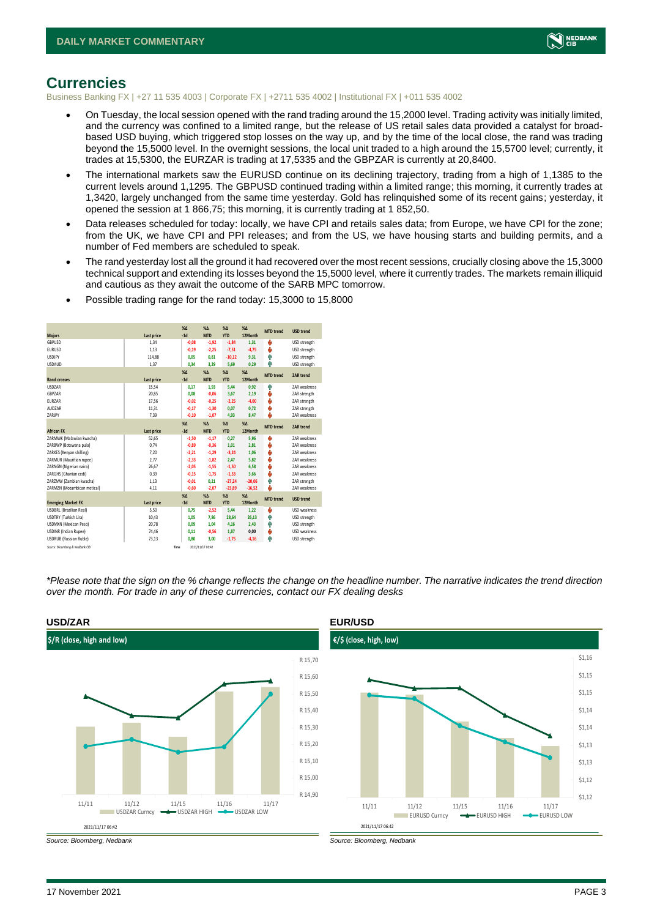

### <span id="page-2-0"></span>**Currencies**

Business Banking FX | +27 11 535 4003 | Corporate FX | +2711 535 4002 | Institutional FX | +011 535 4002

- On Tuesday, the local session opened with the rand trading around the 15,2000 level. Trading activity was initially limited, and the currency was confined to a limited range, but the release of US retail sales data provided a catalyst for broadbased USD buying, which triggered stop losses on the way up, and by the time of the local close, the rand was trading beyond the 15,5000 level. In the overnight sessions, the local unit traded to a high around the 15,5700 level; currently, it trades at 15,5300, the EURZAR is trading at 17,5335 and the GBPZAR is currently at 20,8400.
- The international markets saw the EURUSD continue on its declining trajectory, trading from a high of 1,1385 to the current levels around 1,1295. The GBPUSD continued trading within a limited range; this morning, it currently trades at 1,3420, largely unchanged from the same time yesterday. Gold has relinquished some of its recent gains; yesterday, it opened the session at 1 866,75; this morning, it is currently trading at 1 852,50.
- Data releases scheduled for today: locally, we have CPI and retails sales data; from Europe, we have CPI for the zone; from the UK, we have CPI and PPI releases; and from the US, we have housing starts and building permits, and a number of Fed members are scheduled to speak.
- The rand yesterday lost all the ground it had recovered over the most recent sessions, crucially closing above the 15,3000 technical support and extending its losses beyond the 15,5000 level, where it currently trades. The markets remain illiquid and cautious as they await the outcome of the SARB MPC tomorrow.

| <b>Majors</b>                   | Last price | X <sub>A</sub><br>$-1d$ | X <sub>A</sub><br><b>MTD</b> | $\%$ $\Lambda$<br><b>YTD</b> | $% \Delta$<br>12Month | <b>MTD</b> trend | <b>USD trend</b>    |
|---------------------------------|------------|-------------------------|------------------------------|------------------------------|-----------------------|------------------|---------------------|
| GBPUSD                          | 1.34       | $-0.08$                 | $-1.92$                      | $-1,84$                      | 1.31                  | ÷                | USD strength        |
| <b>EURUSD</b>                   | 1,13       | $-0,19$                 | $-2,25$                      | $-7,51$                      | $-4,75$               | ÷                | USD strength        |
| <b>LISDIPY</b>                  | 114,88     | 0.05                    | 0.81                         | $-10.12$                     | 9.31                  | ٠                | USD strength        |
| <b>USDAUD</b>                   | 1,37       | 0,34                    | 3,29                         | 5,69                         | 0,29                  | ۵                | USD strength        |
|                                 |            | X <sub>A</sub>          | X <sub>A</sub>               | $\%$ $\Lambda$               | $% \Delta$            | <b>MTD</b> trend | <b>ZAR trend</b>    |
| <b>Rand crosses</b>             | Last price | $-1d$                   | <b>MTD</b>                   | <b>YTD</b>                   | 12Month               |                  |                     |
| <b>USDZAR</b>                   | 15.54      | 0.17                    | 1.93                         | 5,44                         | 0.92                  | ٠                | <b>7AR</b> weakness |
| <b>GRP7AR</b>                   | 20.85      | 0.08                    | $-0.06$                      | 3.67                         | 2.19                  | J                | ZAR strength        |
| <b>FURZAR</b>                   | 17,56      | $-0.02$                 | $-0.25$                      | $-2,25$                      | $-4.00$               | ÷                | ZAR strength        |
| AUD7AR                          | 11,31      | $-0.17$                 | $-1.30$                      | 0,07                         | 0.72                  | v                | ZAR strength        |
| 7ARIPY                          | 7,39       | $-0.10$                 | $-1.07$                      | 4,93                         | 8.47                  | J                | <b>7AR</b> weakness |
|                                 |            | X <sub>A</sub>          | X <sub>A</sub>               | $\%$ $\Lambda$               | $% \Delta$            | <b>MTD</b> trend | <b>ZAR trend</b>    |
| <b>African FX</b>               | Last price | $-1d$                   | <b>MTD</b>                   | <b>YTD</b>                   | 12Month               |                  |                     |
| ZARMWK (Malawian kwacha)        | 52,65      | $-1,50$                 | $-1,17$                      | 0,27                         | 5,96                  | ÷                | <b>7AR</b> weakness |
| ZARBWP (Botswana pula)          | 0,74       | $-0,89$                 | $-0,36$                      | 1,01                         | 2,81                  | ÷                | ZAR weakness        |
| ZARKES (Kenyan shilling)        | 7,20       | $-2,21$                 | $-1.29$                      | $-3,24$                      | 1.06                  | ÷                | <b>7AR</b> weakness |
| ZARMUR (Mauritian rupee)        | 2,77       | $-2,33$                 | $-1,82$                      | 2,47                         | 5,82                  | ÷                | ZAR weakness        |
| ZARNGN (Nigerian naira)         | 26.67      | $-2.05$                 | $-1.55$                      | $-1,50$                      | 6.58                  | ÷                | ZAR weakness        |
| ZARGHS (Ghanian cedi)           | 0.39       | $-0.15$                 | $-1.75$                      | $-1,53$                      | 3.66                  | ě                | ZAR weakness        |
| ZARZMW (Zambian kwacha)         | 1.13       | $-0.01$                 | 0.21                         | $-27.24$                     | $-20.06$              | ٠                | ZAR strength        |
| ZARMZN (Mozambican metical)     | 4,11       | $-0.60$                 | $-2.07$                      | $-23,89$                     | $-16,52$              | ı                | ZAR weakness        |
|                                 |            | X <sub>A</sub>          | X <sub>A</sub>               | $\%$ $\Lambda$               | $% \Delta$            | <b>MTD</b> trend | <b>USD trend</b>    |
| <b>Emerging Market FX</b>       | Last price | $-1d$                   | <b>MTD</b>                   | <b>YTD</b>                   | 12Month               |                  |                     |
| <b>USDBRL (Brazilian Real)</b>  | 5.50       | 0.75                    | $-2.52$                      | 5,44                         | 1.22                  | J                | <b>USD</b> weakness |
| USDTRY (Turkish Lira)           | 10,43      | 1.05                    | 7.86                         | 28,64                        | 26.13                 | ٠                | USD strength        |
| <b>USDMXN (Mexican Peso)</b>    | 20,78      | 0.09                    | 1.04                         | 4,16                         | 2,43                  | Φ                | USD strength        |
| <b>USDINR</b> (Indian Rupee)    | 74,46      | 0,11                    | $-0,56$                      | 1,87                         | 0,00                  | v                | <b>USD</b> weakness |
| <b>USDRUB (Russian Ruble)</b>   | 73,13      | 0.80                    | 3.00                         | $-1,75$                      | $-4.16$               | Φ                | USD strength        |
| Source: Bloomberg & Nedbank CIB | Time       |                         | 2021/11/17 06:42             |                              |                       |                  |                     |

• Possible trading range for the rand today: 15,3000 to 15,8000

*\*Please note that the sign on the % change reflects the change on the headline number. The narrative indicates the trend direction over the month. For trade in any of these currencies, contact our FX dealing desks*



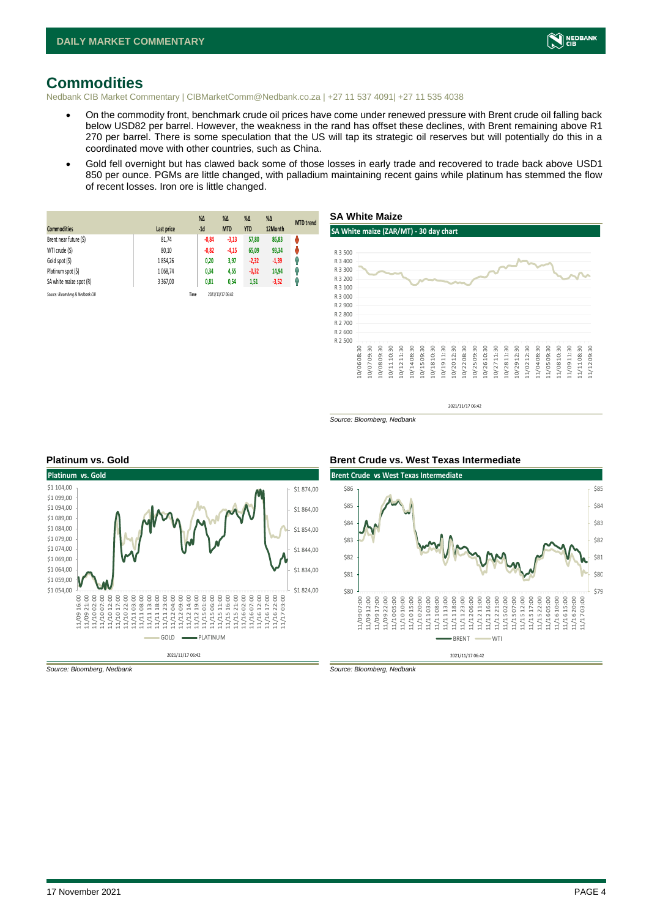

### <span id="page-3-0"></span>**Commodities**

Nedbank CIB Market Commentary | CIBMarketComm@Nedbank.co.za | +27 11 537 4091| +27 11 535 4038

- On the commodity front, benchmark crude oil prices have come under renewed pressure with Brent crude oil falling back below USD82 per barrel. However, the weakness in the rand has offset these declines, with Brent remaining above R1 270 per barrel. There is some speculation that the US will tap its strategic oil reserves but will potentially do this in a coordinated move with other countries, such as China.
- Gold fell overnight but has clawed back some of those losses in early trade and recovered to trade back above USD1 850 per ounce. PGMs are little changed, with palladium maintaining recent gains while platinum has stemmed the flow of recent losses. Iron ore is little changed.

|                                 |             | $%$ $\Delta$ | $\%$ $\Delta$    | $%$ $\Delta$ | $\%$ $\Delta$ | <b>MTD</b> trend |
|---------------------------------|-------------|--------------|------------------|--------------|---------------|------------------|
| <b>Commodities</b>              | Last price  | $-1d$        | <b>MTD</b>       | <b>YTD</b>   | 12Month       |                  |
| Brent near future (\$)          | 81,74       | $-0,84$      | $-3,13$          | 57,80        | 86,83         | ŵ                |
| WTI crude (\$)                  | 80,10       | $-0,82$      | $-4,15$          | 65,09        | 93,34         | ŵ                |
| Gold spot (\$)                  | 1854,26     | 0,20         | 3,97             | $-2,32$      | $-1,39$       | Ģ                |
| Platinum spot (\$)              | 1 068,74    | 0,34         | 4,55             | $-0,32$      | 14,94         | Ŵ                |
| SA white maize spot (R)         | 3 3 6 7 .00 | 0,81         | 0,54             | 1,51         | $-3,52$       | f                |
| Source: Bloomberg & Nedbank CIB |             | Time         | 2021/11/17 06:42 |              |               |                  |



2021/11/17 06:42

*Source: Bloomberg, Nedbank*





*Source: Bloomberg, Nedbank Source: Bloomberg, Nedbank*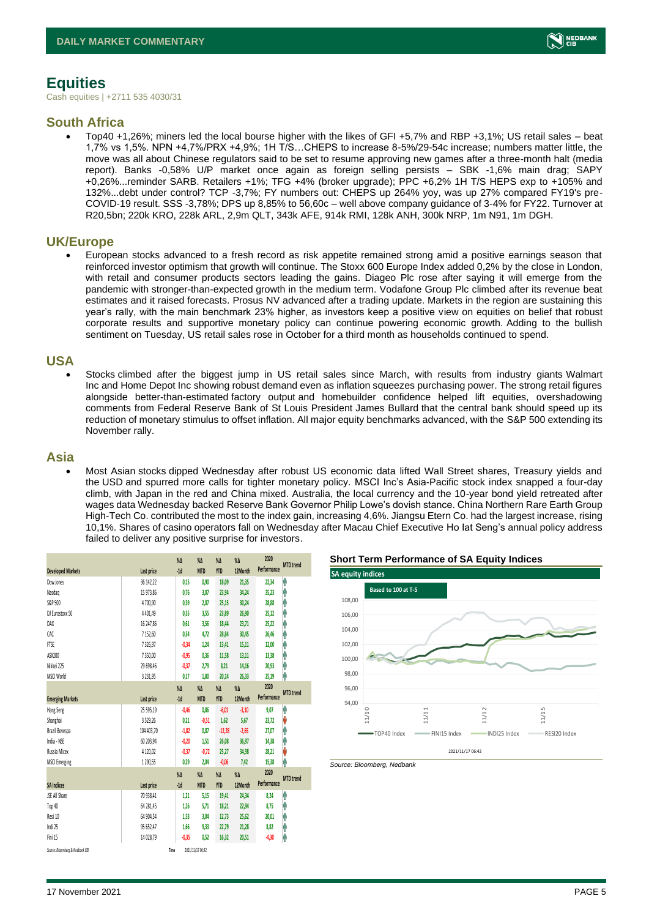# <span id="page-4-0"></span>**Equities**

Cash equities | +2711 535 4030/31

### **South Africa**

• Top40 +1,26%; miners led the local bourse higher with the likes of GFI +5,7% and RBP +3,1%; US retail sales – beat 1,7% vs 1,5%. NPN +4,7%/PRX +4,9%; 1H T/S…CHEPS to increase 8-5%/29-54c increase; numbers matter little, the move was all about Chinese regulators said to be set to resume approving new games after a three-month halt (media report). Banks -0,58% U/P market once again as foreign selling persists – SBK -1,6% main drag; SAPY +0,26%...reminder SARB. Retailers +1%; TFG +4% (broker upgrade); PPC +6,2% 1H T/S HEPS exp to +105% and 132%...debt under control? TCP -3,7%; FY numbers out: CHEPS up 264% yoy, was up 27% compared FY19's pre-COVID-19 result. SSS -3,78%; DPS up 8,85% to 56,60c – well above company guidance of 3-4% for FY22. Turnover at R20,5bn; 220k KRO, 228k ARL, 2,9m QLT, 343k AFE, 914k RMI, 128k ANH, 300k NRP, 1m N91, 1m DGH.

### **UK/Europe**

• European stocks advanced to a fresh record as risk appetite remained strong amid a positive earnings season that reinforced investor optimism that growth will continue. The Stoxx 600 Europe Index added 0,2% by the close in London, with retail and consumer products sectors leading the gains. Diageo Plc rose after saying it will emerge from the pandemic with stronger-than-expected growth in the medium term. Vodafone Group Plc climbed after its revenue beat estimates and it raised forecasts. Prosus NV advanced after a trading update. Markets in the region are sustaining this year's rally, with the main benchmark 23% higher, as investors keep a positive view on equities on belief that robust corporate results and supportive monetary policy can continue powering economic growth. Adding to the bullish sentiment on Tuesday, US retail sales rose in October for a third month as households continued to spend.

### **USA**

Stocks climbed after the biggest jump in US retail sales since March, with results from industry giants Walmart Inc and Home Depot Inc showing robust demand even as inflation squeezes purchasing power. The strong retail figures alongside better-than-estimated factory output and homebuilder confidence helped lift equities, overshadowing comments from Federal Reserve Bank of St Louis President James Bullard that the central bank should speed up its reduction of monetary stimulus to offset inflation. All major equity benchmarks advanced, with the S&P 500 extending its November rally.

### **Asia**

• Most Asian stocks dipped Wednesday after robust US economic data lifted Wall Street shares, Treasury yields and the USD and spurred more calls for tighter monetary policy. MSCI Inc's Asia-Pacific stock index snapped a four-day climb, with Japan in the red and China mixed. Australia, the local currency and the 10-year bond yield retreated after wages data Wednesday backed Reserve Bank Governor Philip Lowe's dovish stance. China Northern Rare Earth Group High-Tech Co. contributed the most to the index gain, increasing 4,6%. Jiangsu Etern Co. had the largest increase, rising 10,1%. Shares of casino operators fall on Wednesday after Macau Chief Executive Ho Iat Seng's annual policy address failed to deliver any positive surprise for investors.

|                                 |              | $\%$          | $\%$ $\Delta$    | $\%$ $\Delta$ | $\%$          | 2020        | <b>MTD</b> trend |
|---------------------------------|--------------|---------------|------------------|---------------|---------------|-------------|------------------|
| <b>Developed Markets</b>        | Last price   | $-1d$         | <b>MTD</b>       | <b>YTD</b>    | 12Month       | Performance |                  |
| Dow Jones                       | 36 142,22    | 0,15          | 0,90             | 18,09         | 21,35         | 22,34       | φ                |
| Nasdaq                          | 15 973,86    | 0,76          | 3,07             | 23,94         | 34,24         | 35,23       | A                |
| S&P 500                         | 4700.90      | 0.39          | 2.07             | 25,15         | 30,24         | 28,88       | A                |
| DJ Eurostoxx 50                 | 4 4 0 1,49   | 0,35          | 3,55             | 23,89         | 26,90         | 25,12       | Α                |
| DAX                             | 16 247,86    | 0,61          | 3,56             | 18,44         | 23,71         | 25,22       | ٨                |
| CAC                             | 7152,60      | 0,34          | 4,72             | 28,84         | 30,45         | 26,46       | Ą                |
| <b>FTSE</b>                     | 7326,97      | $-0,34$       | 1,24             | 13,41         | 15,11         | 12,00       | Α                |
| ASX200                          | 7350,00      | $-0.95$       | 0,36             | 11,58         | 13,11         | 13,38       | ٨                |
| Nikkei 225                      | 29 698,46    | $-0,37$       | 2,79             | 8,21          | 14,16         | 20,93       | A                |
| MSCI World                      | 3 2 3 1, 9 5 | 0,17          | 1,80             | 20,14         | 26,33         | 25,19       | ⋔                |
|                                 |              | $\%$          | $\%$ $\Delta$    | $\%$ $\Delta$ | $\%$ $\Delta$ | 2020        |                  |
| <b>Emerging Markets</b>         | Last price   | $-1d$         | <b>MTD</b>       | <b>YTD</b>    | 12Month       | Performance | <b>MTD</b> trend |
| Hang Seng                       | 25 595,19    | $-0.46$       | 0,86             | $-6,01$       | $-3,10$       | 9,07        | φ                |
| Shanghai                        | 3529,26      | 0,21          | $-0,51$          | 1,62          | 5,67          | 23,72       | V                |
| Brazil Bovespa                  | 104 403,70   | $-1,82$       | 0,87             | $-12,28$      | $-2,65$       | 27,07       | ⋔                |
| India - NSE                     | 60 203,94    | $-0,20$       | 1,51             | 26,08         | 36,97         | 14,38       | ⋒                |
| Russia Micex                    | 4 1 2 0,02   | $-0,37$       | $-0.72$          | 25,27         | 34,98         | 28,21       | V                |
| <b>MSCI Emerging</b>            | 1290,55      | 0,29          | 2,04             | $-0,06$       | 7,42          | 15,38       | ٨                |
|                                 |              | $\%$ $\Delta$ | $\%$ $\Delta$    | $\%$ $\Delta$ | $\%$ $\Delta$ | 2020        |                  |
| <b>SA Indices</b>               | Last price   | $-1d$         | <b>MTD</b>       | <b>YTD</b>    | 12Month       | Performance | <b>MTD</b> trend |
| <b>ISE All Share</b>            | 70 938,41    | 1,21          | 5,15             | 19,41         | 24,34         | 8,24        | ٨                |
| Top 40                          | 64 281,45    | 1,26          | 5,71             | 18,21         | 22,94         | 8,75        | ٨                |
| Resi 10                         | 64 904,54    | 1,53          | 3,04             | 12, 73        | 25,62         | 20,01       | Ą                |
| Indi 25                         | 95 652,47    | 1,66          | 9,33             | 22,79         | 21,28         | 8,82        | ⋔                |
| Fini 15                         | 14 028.79    | $-0,35$       | 0.52             | 16,32         | 20,51         | $-4,30$     | ⋔                |
| Source: Bloomberg & Nedbank CIB |              | Time          | 2021/11/17 06:42 |               |               |             |                  |





*Source: Bloomberg, Nedbank*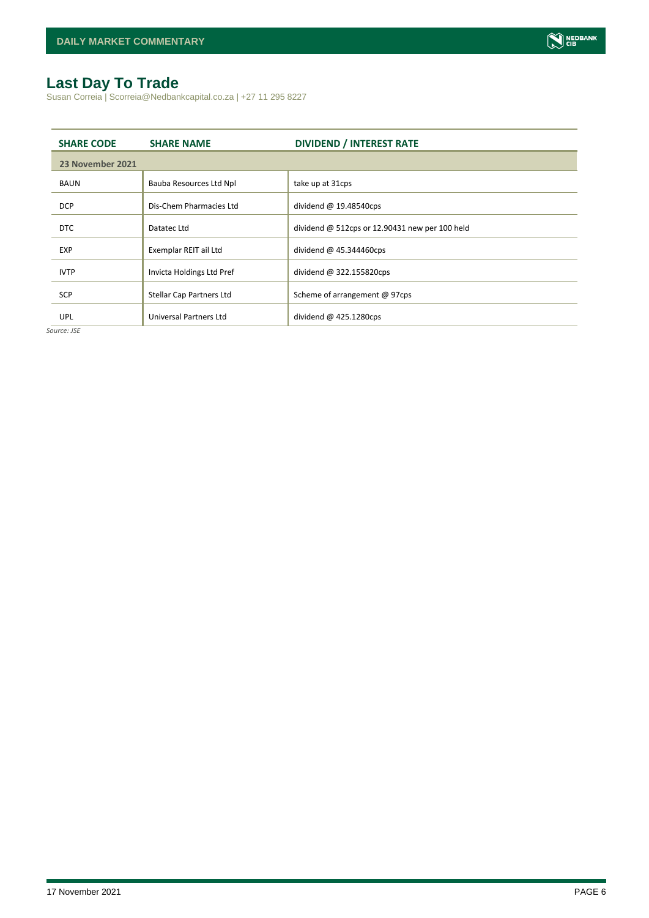# <span id="page-5-0"></span>**Last Day To Trade**

Susan Correia | Scorreia@Nedbankcapital.co.za | +27 11 295 8227

| <b>SHARE CODE</b> | <b>SHARE NAME</b>         | <b>DIVIDEND / INTEREST RATE</b>                  |
|-------------------|---------------------------|--------------------------------------------------|
| 23 November 2021  |                           |                                                  |
| <b>BAUN</b>       | Bauba Resources Ltd Npl   | take up at 31cps                                 |
| <b>DCP</b>        | Dis-Chem Pharmacies Ltd   | dividend $@$ 19.48540cps                         |
| <b>DTC</b>        | Datatec Ltd               | dividend $@$ 512cps or 12.90431 new per 100 held |
| <b>EXP</b>        | Exemplar REIT ail Ltd     | dividend $@$ 45.344460cps                        |
| <b>IVTP</b>       | Invicta Holdings Ltd Pref | dividend @ 322.155820cps                         |
| <b>SCP</b>        | Stellar Cap Partners Ltd  | Scheme of arrangement @ 97cps                    |
| <b>UPL</b>        | Universal Partners Ltd    | dividend $@$ 425.1280cps                         |

*Source: JSE*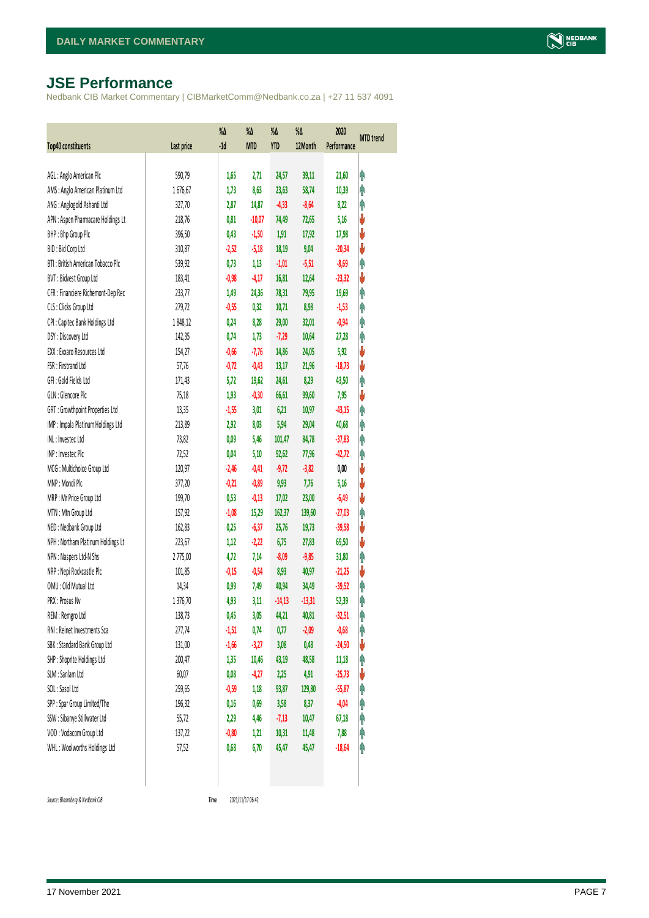# <span id="page-6-0"></span>**JSE Performance**

Nedbank CIB Market Commentary | CIBMarketComm@Nedbank.co.za | +27 11 537 4091

| Top40 constituents                 | Last price | %Δ<br>$-1d$ | $\%$<br><b>MTD</b> | %Δ<br><b>YTD</b> | %Δ<br>12Month | 2020<br>Performance | <b>MTD</b> trend |
|------------------------------------|------------|-------------|--------------------|------------------|---------------|---------------------|------------------|
|                                    |            |             |                    |                  |               |                     |                  |
| AGL: Anglo American Plc            | 590,79     | 1,65        | 2,71               | 24,57            | 39,11         | 21,60               | φ                |
| AMS: Anglo American Platinum Ltd   | 1676,67    | 1,73        | 8,63               | 23,63            | 58,74         | 10,39               | φ                |
| ANG: Anglogold Ashanti Ltd         | 327,70     | 2,87        | 14,87              | $-4,33$          | $-8,64$       | 8,22                | φ                |
| APN : Aspen Pharmacare Holdings Lt | 218,76     | 0,81        | $-10,07$           | 74,49            | 72,65         | 5,16                | V                |
| BHP: Bhp Group Plc                 | 396,50     | 0,43        | $-1,50$            | 1,91             | 17,92         | 17,98               | V                |
| BID: Bid Corp Ltd                  | 310,87     | $-2,52$     | $-5,18$            | 18,19            | 9,04          | $-20,34$            | ψ                |
| BTI: British American Tobacco Plc  | 539,92     | 0,73        | 1,13               | $-1,01$          | $-5,51$       | $-8,69$             | φ                |
| BVT: Bidvest Group Ltd             | 183,41     | $-0,98$     | $-4,17$            | 16,81            | 12,64         | $-23,32$            | ψ                |
| CFR : Financiere Richemont-Dep Rec | 233,77     | 1,49        | 24,36              | 78,31            | 79,95         | 19,69               | φ                |
| CLS : Clicks Group Ltd             | 279,72     | $-0,55$     | 0,32               | 10,71            | 8,98          | $-1,53$             | φ                |
| CPI : Capitec Bank Holdings Ltd    | 1848,12    | 0,24        | 8,28               | 29,00            | 32,01         | $-0,94$             | φ                |
| DSY: Discovery Ltd                 | 142,35     | 0,74        | 1,73               | $-7,29$          | 10,64         | 27,28               | φ                |
| EXX : Exxaro Resources Ltd         | 154,27     | $-0,66$     | $-7,76$            | 14,86            | 24,05         | 5,92                | V                |
| FSR: Firstrand Ltd                 | 57,76      | $-0,72$     | $-0,43$            | 13,17            | 21,96         | $-18,73$            | ψ                |
| GFI: Gold Fields Ltd               | 171,43     | 5,72        | 19,62              | 24,61            | 8,29          | 43,50               | φ                |
| GLN : Glencore Plc                 | 75,18      | 1,93        | $-0,30$            | 66,61            | 99,60         | 7,95                | ψ                |
| GRT : Growthpoint Properties Ltd   | 13,35      | $-1,55$     | 3,01               | 6,21             | 10,97         | $-43,15$            | φ                |
| IMP : Impala Platinum Holdings Ltd | 213,89     | 2,92        | 8,03               | 5,94             | 29,04         | 40,68               | φ                |
| INL: Investec Ltd                  | 73,82      | 0,09        | 5,46               | 101,47           | 84,78         | $-37,83$            | φ                |
| INP: Invested Plc                  | 72,52      | 0,04        | 5,10               | 92,62            | 77,96         | $-42,72$            | φ                |
| MCG: Multichoice Group Ltd         | 120,97     | $-2,46$     | $-0,41$            | $-9,72$          | $-3,82$       | 0,00                | ψ                |
| MNP: Mondi Plc                     | 377,20     | $-0,21$     | $-0,89$            | 9,93             | 7,76          | 5,16                | ψ                |
| MRP : Mr Price Group Ltd           | 199,70     | 0,53        | $-0,13$            | 17,02            | 23,00         | $-6,49$             | V                |
| MTN: Mtn Group Ltd                 | 157,92     | $-1,08$     | 15,29              | 162,37           | 139,60        | $-27,03$            | φ                |
| NED : Nedbank Group Ltd            | 162,83     | 0,25        | $-6,37$            | 25,76            | 19,73         | $-39,58$            | V                |
| NPH : Northam Platinum Holdings Lt | 223,67     | 1,12        | $-2,22$            | 6,75             | 27,83         | 69,50               | ψ                |
| NPN : Naspers Ltd-N Shs            | 2775,00    | 4,72        | 7,14               | $-8,09$          | $-9,85$       | 31,80               | φ                |
| NRP : Nepi Rockcastle Plc          | 101,85     | $-0,15$     | $-0,54$            | 8,93             | 40,97         | $-21,25$            | V                |
| OMU: Old Mutual Ltd                | 14,34      | 0,99        | 7,49               | 40,94            | 34,49         | $-39,52$            | φ                |
| PRX : Prosus Nv                    | 1376,70    | 4,93        | 3,11               | $-14,13$         | $-13,31$      | 52,39               | φ                |
| REM : Remgro Ltd                   | 138,73     | 0,45        | 3,05               | 44,21            | 40,81         | $-32,51$            | Ĥ                |
| RNI : Reinet Investments Sca       | 277,74     | $-1,51$     | 0,74               | 0,77             | $-2,09$       | $-0,68$             | Ĥ                |
| SBK: Standard Bank Group Ltd       | 131,00     | $-1,66$     | $-3,27$            | 3,08             | 0,48          | $-24,50$            | ψ                |
| SHP: Shoprite Holdings Ltd         | 200,47     | 1,35        | 10,46              | 43,19            | 48,58         | 11,18               | φ                |
| SLM : Sanlam Ltd                   | 60,07      | 0,08        | $-4,27$            | 2,25             | 4,91          | $-25,73$            | ψ                |
| SOL: Sasol Ltd                     | 259,65     | $-0,59$     | 1,18               | 93,87            | 129,80        | $-55,87$            | Ĥ                |
| SPP: Spar Group Limited/The        | 196,32     | 0,16        | 0,69               | 3,58             | 8,37          | $-4,04$             | Ĥ                |
| SSW : Sibanye Stillwater Ltd       | 55, 72     | 2,29        | 4,46               | $-7,13$          | 10,47         | 67,18               | Ĥ                |
| VOD: Vodacom Group Ltd             | 137,22     | $-0,80$     | 1,21               | 10,31            | 11,48         | 7,88                | Ĥ                |
| WHL: Woolworths Holdings Ltd       | 57,52      | 0,68        | 6,70               | 45,47            | 45,47         | $-18,64$            | φ                |
|                                    |            |             |                    |                  |               |                     |                  |

 $Source: Bloomberg & Nedbank *CB*$ 

Time 2021/11/17 06:42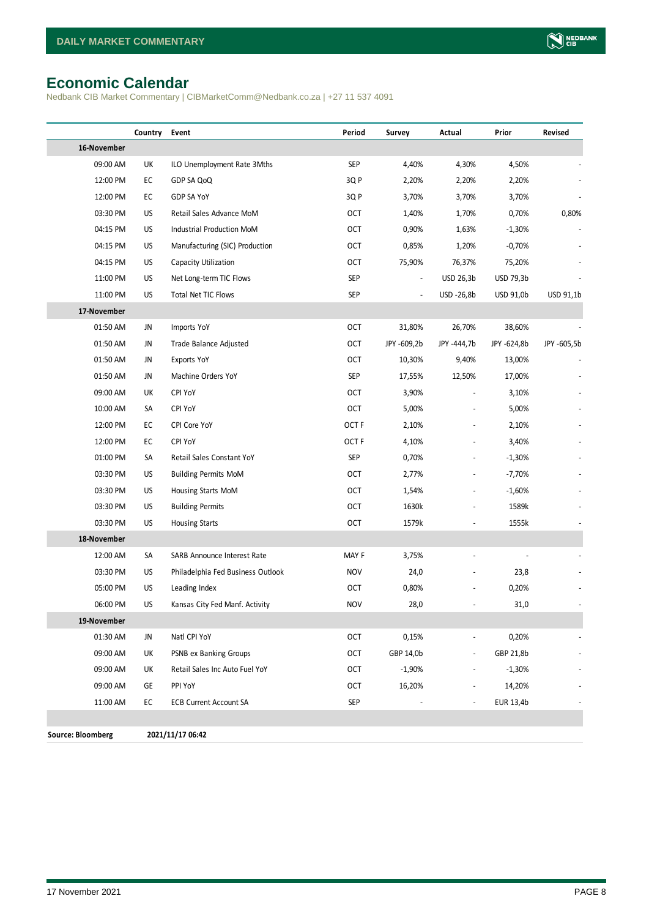# <span id="page-7-0"></span>**Economic Calendar**

Nedbank CIB Market Commentary | CIBMarketComm@Nedbank.co.za | +27 11 537 4091

|                          | Country   | Event                             | Period     | Survey                   | Actual                   | Prior       | Revised     |
|--------------------------|-----------|-----------------------------------|------------|--------------------------|--------------------------|-------------|-------------|
| 16-November              |           |                                   |            |                          |                          |             |             |
| 09:00 AM                 | UK        | ILO Unemployment Rate 3Mths       | <b>SEP</b> | 4,40%                    | 4,30%                    | 4,50%       |             |
| 12:00 PM                 | EC        | GDP SA QoQ                        | 3QP        | 2,20%                    | 2,20%                    | 2,20%       |             |
| 12:00 PM                 | EC        | <b>GDP SA YoY</b>                 | 3Q P       | 3,70%                    | 3,70%                    | 3,70%       |             |
| 03:30 PM                 | US        | Retail Sales Advance MoM          | 0CT        | 1,40%                    | 1,70%                    | 0,70%       | 0,80%       |
| 04:15 PM                 | US        | Industrial Production MoM         | 0CT        | 0,90%                    | 1,63%                    | $-1,30%$    |             |
| 04:15 PM                 | US        | Manufacturing (SIC) Production    | 0CT        | 0,85%                    | 1,20%                    | $-0,70%$    |             |
| 04:15 PM                 | US        | Capacity Utilization              | OCT        | 75,90%                   | 76,37%                   | 75,20%      |             |
| 11:00 PM                 | US        | Net Long-term TIC Flows           | <b>SEP</b> | $\overline{\phantom{a}}$ | USD 26,3b                | USD 79,3b   |             |
| 11:00 PM                 | <b>US</b> | <b>Total Net TIC Flows</b>        | <b>SEP</b> | $\overline{\phantom{a}}$ | USD -26,8b               | USD 91,0b   | USD 91,1b   |
| 17-November              |           |                                   |            |                          |                          |             |             |
| 01:50 AM                 | JN        | Imports YoY                       | <b>OCT</b> | 31,80%                   | 26,70%                   | 38,60%      |             |
| 01:50 AM                 | JN        | Trade Balance Adjusted            | 0CT        | JPY -609,2b              | JPY -444,7b              | JPY -624,8b | JPY -605,5b |
| 01:50 AM                 | JN        | Exports YoY                       | 0CT        | 10,30%                   | 9,40%                    | 13,00%      |             |
| 01:50 AM                 | JN        | Machine Orders YoY                | <b>SEP</b> | 17,55%                   | 12,50%                   | 17,00%      |             |
| 09:00 AM                 | UK        | CPI YoY                           | <b>OCT</b> | 3,90%                    |                          | 3,10%       |             |
| 10:00 AM                 | SA        | <b>CPI YoY</b>                    | 0CT        | 5,00%                    |                          | 5,00%       |             |
| 12:00 PM                 | EC        | CPI Core YoY                      | OCT F      | 2,10%                    |                          | 2,10%       |             |
| 12:00 PM                 | EC        | <b>CPI YoY</b>                    | OCT F      | 4,10%                    |                          | 3,40%       |             |
| 01:00 PM                 | SA        | Retail Sales Constant YoY         | <b>SEP</b> | 0,70%                    |                          | $-1,30%$    |             |
| 03:30 PM                 | US        | <b>Building Permits MoM</b>       | 0CT        | 2,77%                    |                          | -7,70%      |             |
| 03:30 PM                 | US        | Housing Starts MoM                | 0CT        | 1,54%                    |                          | $-1,60%$    |             |
| 03:30 PM                 | US        | <b>Building Permits</b>           | 0CT        | 1630k                    |                          | 1589k       |             |
| 03:30 PM                 | US        | <b>Housing Starts</b>             | OCT        | 1579k                    |                          | 1555k       |             |
| 18-November              |           |                                   |            |                          |                          |             |             |
| 12:00 AM                 | SA        | SARB Announce Interest Rate       | MAY F      | 3,75%                    | $\overline{a}$           |             |             |
| 03:30 PM                 | US        | Philadelphia Fed Business Outlook | <b>NOV</b> | 24,0                     |                          | 23,8        |             |
| 05:00 PM                 | US        | Leading Index                     | OCT        | 0,80%                    |                          | 0,20%       |             |
| 06:00 PM                 | US        | Kansas City Fed Manf. Activity    | <b>NOV</b> | 28,0                     |                          | 31,0        |             |
| 19-November              |           |                                   |            |                          |                          |             |             |
| 01:30 AM                 | JN        | Natl CPI YoY                      | <b>OCT</b> | 0,15%                    |                          | 0,20%       |             |
| 09:00 AM                 | UK        | PSNB ex Banking Groups            | OCT        | GBP 14,0b                | $\overline{\phantom{a}}$ | GBP 21,8b   |             |
| 09:00 AM                 | UK        | Retail Sales Inc Auto Fuel YoY    | 0CT        | $-1,90%$                 | $\overline{\phantom{a}}$ | $-1,30%$    |             |
| 09:00 AM                 | GE        | PPI YoY                           | OCT        | 16,20%                   |                          | 14,20%      |             |
| 11:00 AM                 | EC        | <b>ECB Current Account SA</b>     | <b>SEP</b> |                          |                          | EUR 13,4b   |             |
|                          |           |                                   |            |                          |                          |             |             |
| <b>Source: Bloomberg</b> |           | 2021/11/17 06:42                  |            |                          |                          |             |             |